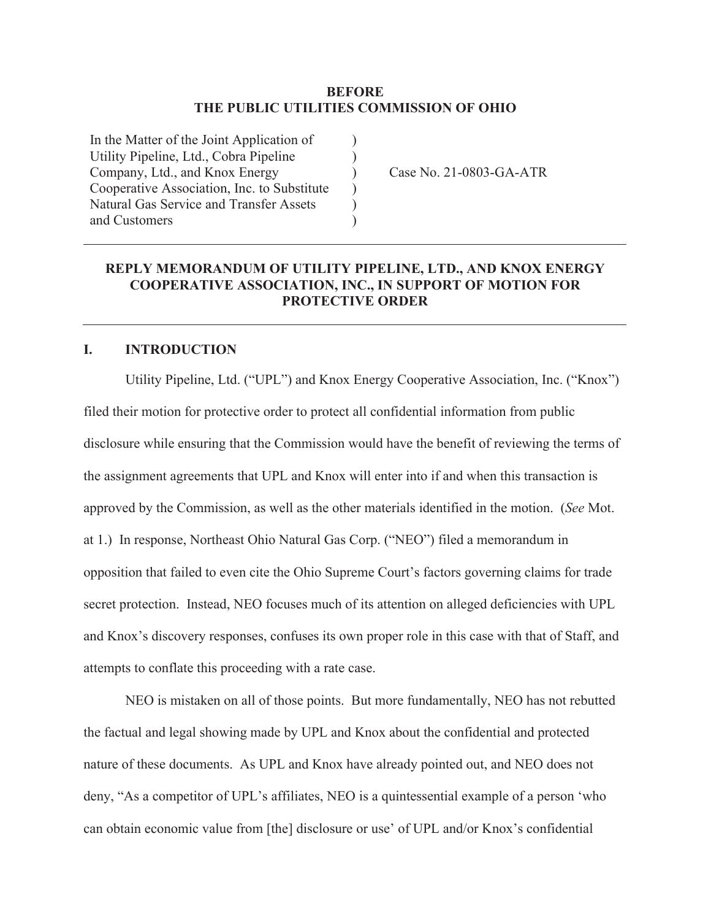#### **BEFORE THE PUBLIC UTILITIES COMMISSION OF OHIO**

 $\mathcal{L}$ ) )  $\lambda$ ) )

In the Matter of the Joint Application of Utility Pipeline, Ltd., Cobra Pipeline Company, Ltd., and Knox Energy Cooperative Association, Inc. to Substitute Natural Gas Service and Transfer Assets and Customers

Case No. 21-0803-GA-ATR

# **REPLY MEMORANDUM OF UTILITY PIPELINE, LTD., AND KNOX ENERGY COOPERATIVE ASSOCIATION, INC., IN SUPPORT OF MOTION FOR PROTECTIVE ORDER**

#### **I. INTRODUCTION**

Utility Pipeline, Ltd. ("UPL") and Knox Energy Cooperative Association, Inc. ("Knox") filed their motion for protective order to protect all confidential information from public disclosure while ensuring that the Commission would have the benefit of reviewing the terms of the assignment agreements that UPL and Knox will enter into if and when this transaction is approved by the Commission, as well as the other materials identified in the motion. (*See* Mot. at 1.) In response, Northeast Ohio Natural Gas Corp. ("NEO") filed a memorandum in opposition that failed to even cite the Ohio Supreme Court's factors governing claims for trade secret protection. Instead, NEO focuses much of its attention on alleged deficiencies with UPL and Knox's discovery responses, confuses its own proper role in this case with that of Staff, and attempts to conflate this proceeding with a rate case.

 NEO is mistaken on all of those points. But more fundamentally, NEO has not rebutted the factual and legal showing made by UPL and Knox about the confidential and protected nature of these documents. As UPL and Knox have already pointed out, and NEO does not deny, "As a competitor of UPL's affiliates, NEO is a quintessential example of a person 'who can obtain economic value from [the] disclosure or use' of UPL and/or Knox's confidential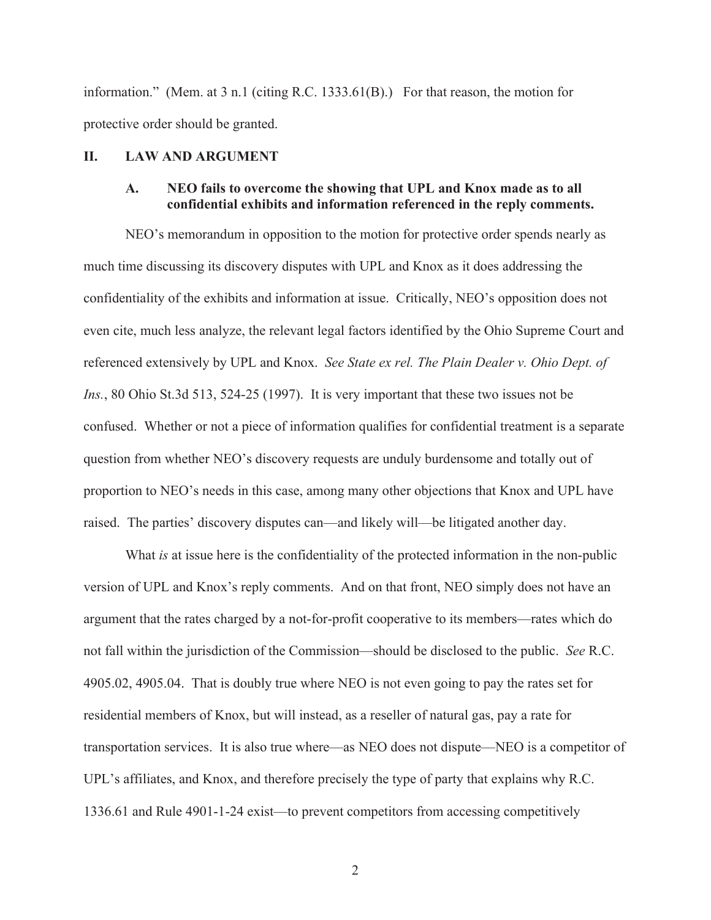information." (Mem. at 3 n.1 (citing R.C. 1333.61(B).) For that reason, the motion for protective order should be granted.

#### **II. LAW AND ARGUMENT**

### **A. NEO fails to overcome the showing that UPL and Knox made as to all confidential exhibits and information referenced in the reply comments.**

 NEO's memorandum in opposition to the motion for protective order spends nearly as much time discussing its discovery disputes with UPL and Knox as it does addressing the confidentiality of the exhibits and information at issue. Critically, NEO's opposition does not even cite, much less analyze, the relevant legal factors identified by the Ohio Supreme Court and referenced extensively by UPL and Knox. *See State ex rel. The Plain Dealer v. Ohio Dept. of Ins.*, 80 Ohio St.3d 513, 524-25 (1997). It is very important that these two issues not be confused. Whether or not a piece of information qualifies for confidential treatment is a separate question from whether NEO's discovery requests are unduly burdensome and totally out of proportion to NEO's needs in this case, among many other objections that Knox and UPL have raised. The parties' discovery disputes can—and likely will—be litigated another day.

 What *is* at issue here is the confidentiality of the protected information in the non-public version of UPL and Knox's reply comments. And on that front, NEO simply does not have an argument that the rates charged by a not-for-profit cooperative to its members—rates which do not fall within the jurisdiction of the Commission—should be disclosed to the public. *See* R.C. 4905.02, 4905.04. That is doubly true where NEO is not even going to pay the rates set for residential members of Knox, but will instead, as a reseller of natural gas, pay a rate for transportation services. It is also true where—as NEO does not dispute—NEO is a competitor of UPL's affiliates, and Knox, and therefore precisely the type of party that explains why R.C. 1336.61 and Rule 4901-1-24 exist—to prevent competitors from accessing competitively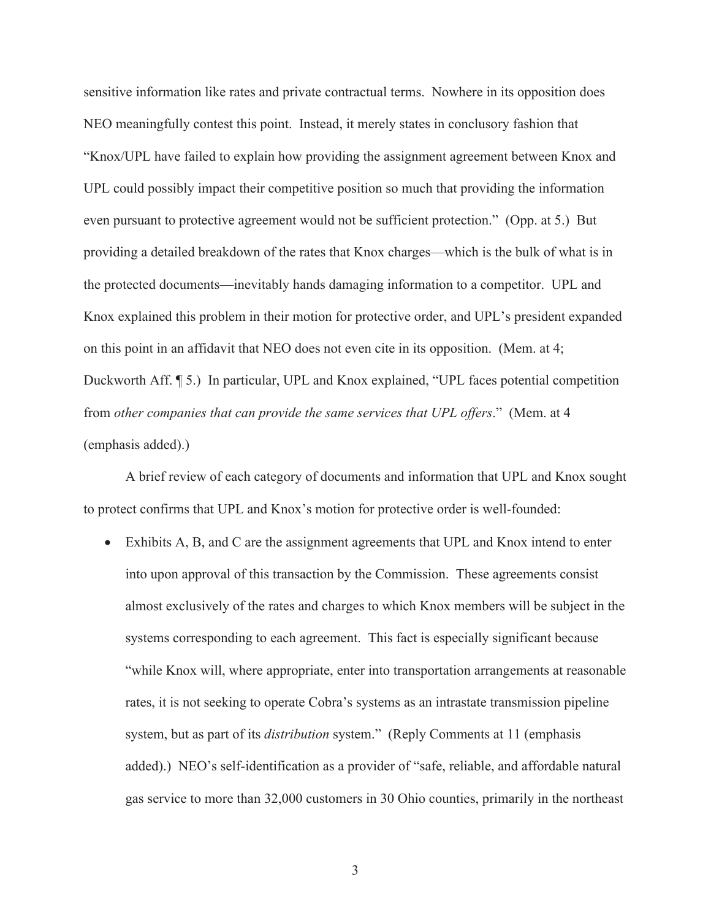sensitive information like rates and private contractual terms. Nowhere in its opposition does NEO meaningfully contest this point. Instead, it merely states in conclusory fashion that "Knox/UPL have failed to explain how providing the assignment agreement between Knox and UPL could possibly impact their competitive position so much that providing the information even pursuant to protective agreement would not be sufficient protection." (Opp. at 5.) But providing a detailed breakdown of the rates that Knox charges—which is the bulk of what is in the protected documents—inevitably hands damaging information to a competitor. UPL and Knox explained this problem in their motion for protective order, and UPL's president expanded on this point in an affidavit that NEO does not even cite in its opposition. (Mem. at 4; Duckworth Aff. ¶ 5.) In particular, UPL and Knox explained, "UPL faces potential competition from *other companies that can provide the same services that UPL offers*." (Mem. at 4 (emphasis added).)

 A brief review of each category of documents and information that UPL and Knox sought to protect confirms that UPL and Knox's motion for protective order is well-founded:

• Exhibits A, B, and C are the assignment agreements that UPL and Knox intend to enter into upon approval of this transaction by the Commission. These agreements consist almost exclusively of the rates and charges to which Knox members will be subject in the systems corresponding to each agreement. This fact is especially significant because "while Knox will, where appropriate, enter into transportation arrangements at reasonable rates, it is not seeking to operate Cobra's systems as an intrastate transmission pipeline system, but as part of its *distribution* system." (Reply Comments at 11 (emphasis added).) NEO's self-identification as a provider of "safe, reliable, and affordable natural gas service to more than 32,000 customers in 30 Ohio counties, primarily in the northeast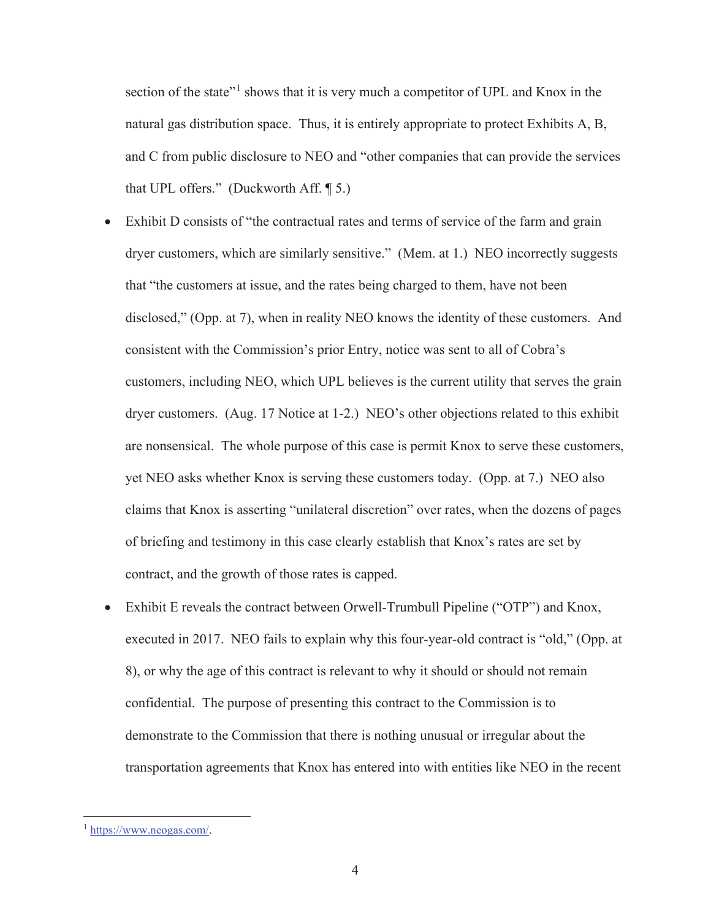section of the state"<sup>1</sup> shows that it is very much a competitor of UPL and Knox in the natural gas distribution space. Thus, it is entirely appropriate to protect Exhibits A, B, and C from public disclosure to NEO and "other companies that can provide the services that UPL offers." (Duckworth Aff. ¶ 5.)

- Exhibit D consists of "the contractual rates and terms of service of the farm and grain dryer customers, which are similarly sensitive." (Mem. at 1.) NEO incorrectly suggests that "the customers at issue, and the rates being charged to them, have not been disclosed," (Opp. at 7), when in reality NEO knows the identity of these customers. And consistent with the Commission's prior Entry, notice was sent to all of Cobra's customers, including NEO, which UPL believes is the current utility that serves the grain dryer customers. (Aug. 17 Notice at 1-2.) NEO's other objections related to this exhibit are nonsensical. The whole purpose of this case is permit Knox to serve these customers, yet NEO asks whether Knox is serving these customers today. (Opp. at 7.) NEO also claims that Knox is asserting "unilateral discretion" over rates, when the dozens of pages of briefing and testimony in this case clearly establish that Knox's rates are set by contract, and the growth of those rates is capped.
- Exhibit E reveals the contract between Orwell-Trumbull Pipeline ("OTP") and Knox, executed in 2017. NEO fails to explain why this four-year-old contract is "old," (Opp. at 8), or why the age of this contract is relevant to why it should or should not remain confidential. The purpose of presenting this contract to the Commission is to demonstrate to the Commission that there is nothing unusual or irregular about the transportation agreements that Knox has entered into with entities like NEO in the recent

<sup>1</sup> https://www.neogas.com/.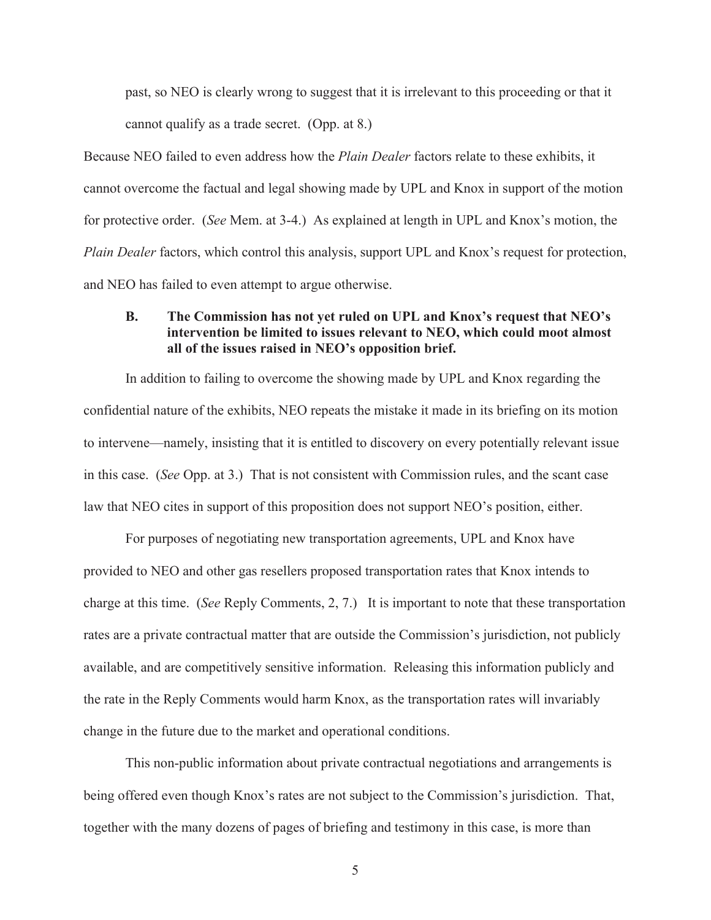past, so NEO is clearly wrong to suggest that it is irrelevant to this proceeding or that it cannot qualify as a trade secret. (Opp. at 8.)

Because NEO failed to even address how the *Plain Dealer* factors relate to these exhibits, it cannot overcome the factual and legal showing made by UPL and Knox in support of the motion for protective order. (*See* Mem. at 3-4.) As explained at length in UPL and Knox's motion, the *Plain Dealer factors, which control this analysis, support UPL and Knox's request for protection,* and NEO has failed to even attempt to argue otherwise.

## **B. The Commission has not yet ruled on UPL and Knox's request that NEO's intervention be limited to issues relevant to NEO, which could moot almost all of the issues raised in NEO's opposition brief.**

 In addition to failing to overcome the showing made by UPL and Knox regarding the confidential nature of the exhibits, NEO repeats the mistake it made in its briefing on its motion to intervene—namely, insisting that it is entitled to discovery on every potentially relevant issue in this case. (*See* Opp. at 3.) That is not consistent with Commission rules, and the scant case law that NEO cites in support of this proposition does not support NEO's position, either.

 For purposes of negotiating new transportation agreements, UPL and Knox have provided to NEO and other gas resellers proposed transportation rates that Knox intends to charge at this time. (*See* Reply Comments, 2, 7.) It is important to note that these transportation rates are a private contractual matter that are outside the Commission's jurisdiction, not publicly available, and are competitively sensitive information. Releasing this information publicly and the rate in the Reply Comments would harm Knox, as the transportation rates will invariably change in the future due to the market and operational conditions.

 This non-public information about private contractual negotiations and arrangements is being offered even though Knox's rates are not subject to the Commission's jurisdiction. That, together with the many dozens of pages of briefing and testimony in this case, is more than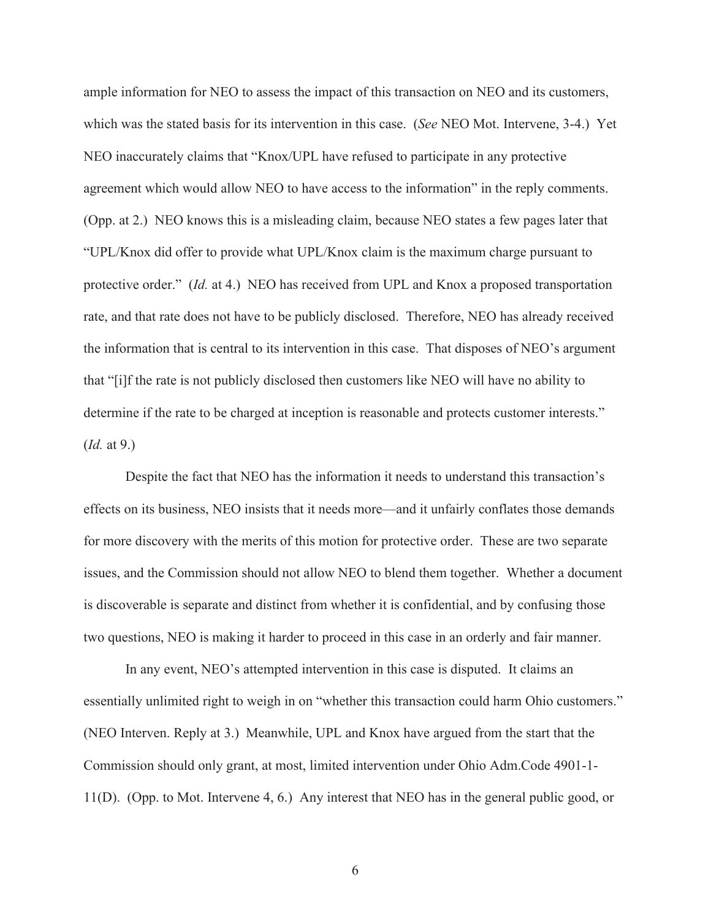ample information for NEO to assess the impact of this transaction on NEO and its customers, which was the stated basis for its intervention in this case. (*See* NEO Mot. Intervene, 3-4.) Yet NEO inaccurately claims that "Knox/UPL have refused to participate in any protective agreement which would allow NEO to have access to the information" in the reply comments. (Opp. at 2.) NEO knows this is a misleading claim, because NEO states a few pages later that "UPL/Knox did offer to provide what UPL/Knox claim is the maximum charge pursuant to protective order." (*Id.* at 4.) NEO has received from UPL and Knox a proposed transportation rate, and that rate does not have to be publicly disclosed. Therefore, NEO has already received the information that is central to its intervention in this case. That disposes of NEO's argument that "[i]f the rate is not publicly disclosed then customers like NEO will have no ability to determine if the rate to be charged at inception is reasonable and protects customer interests." (*Id.* at 9.)

 Despite the fact that NEO has the information it needs to understand this transaction's effects on its business, NEO insists that it needs more—and it unfairly conflates those demands for more discovery with the merits of this motion for protective order. These are two separate issues, and the Commission should not allow NEO to blend them together. Whether a document is discoverable is separate and distinct from whether it is confidential, and by confusing those two questions, NEO is making it harder to proceed in this case in an orderly and fair manner.

 In any event, NEO's attempted intervention in this case is disputed. It claims an essentially unlimited right to weigh in on "whether this transaction could harm Ohio customers." (NEO Interven. Reply at 3.) Meanwhile, UPL and Knox have argued from the start that the Commission should only grant, at most, limited intervention under Ohio Adm.Code 4901-1- 11(D). (Opp. to Mot. Intervene 4, 6.) Any interest that NEO has in the general public good, or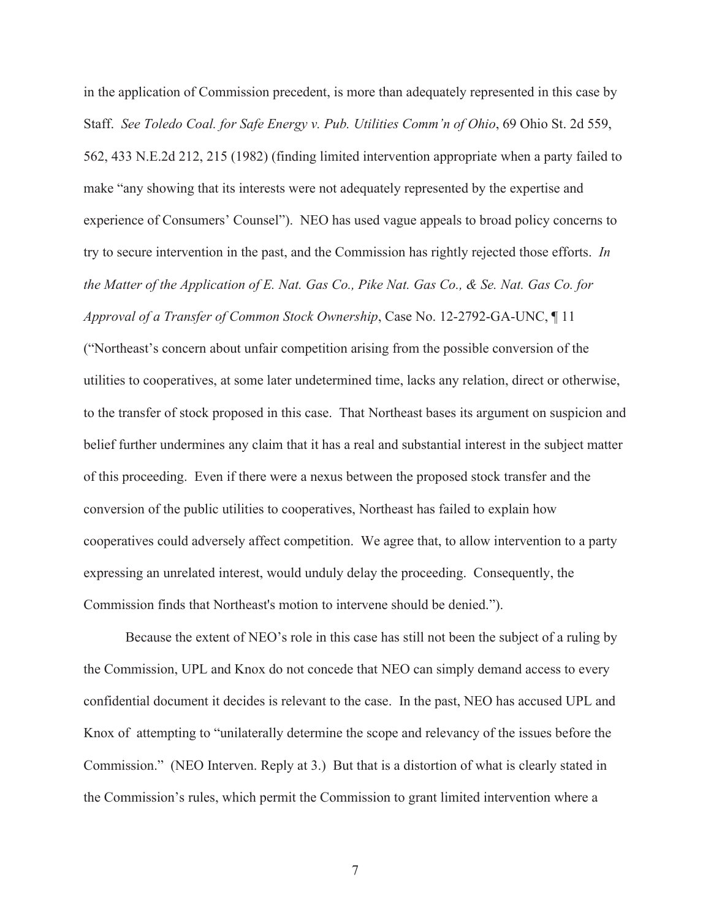in the application of Commission precedent, is more than adequately represented in this case by Staff. *See Toledo Coal. for Safe Energy v. Pub. Utilities Comm'n of Ohio*, 69 Ohio St. 2d 559, 562, 433 N.E.2d 212, 215 (1982) (finding limited intervention appropriate when a party failed to make "any showing that its interests were not adequately represented by the expertise and experience of Consumers' Counsel"). NEO has used vague appeals to broad policy concerns to try to secure intervention in the past, and the Commission has rightly rejected those efforts. *In the Matter of the Application of E. Nat. Gas Co., Pike Nat. Gas Co., & Se. Nat. Gas Co. for Approval of a Transfer of Common Stock Ownership*, Case No. 12-2792-GA-UNC, ¶ 11

("Northeast's concern about unfair competition arising from the possible conversion of the utilities to cooperatives, at some later undetermined time, lacks any relation, direct or otherwise, to the transfer of stock proposed in this case. That Northeast bases its argument on suspicion and belief further undermines any claim that it has a real and substantial interest in the subject matter of this proceeding. Even if there were a nexus between the proposed stock transfer and the conversion of the public utilities to cooperatives, Northeast has failed to explain how cooperatives could adversely affect competition. We agree that, to allow intervention to a party expressing an unrelated interest, would unduly delay the proceeding. Consequently, the Commission finds that Northeast's motion to intervene should be denied.").

 Because the extent of NEO's role in this case has still not been the subject of a ruling by the Commission, UPL and Knox do not concede that NEO can simply demand access to every confidential document it decides is relevant to the case. In the past, NEO has accused UPL and Knox of attempting to "unilaterally determine the scope and relevancy of the issues before the Commission." (NEO Interven. Reply at 3.) But that is a distortion of what is clearly stated in the Commission's rules, which permit the Commission to grant limited intervention where a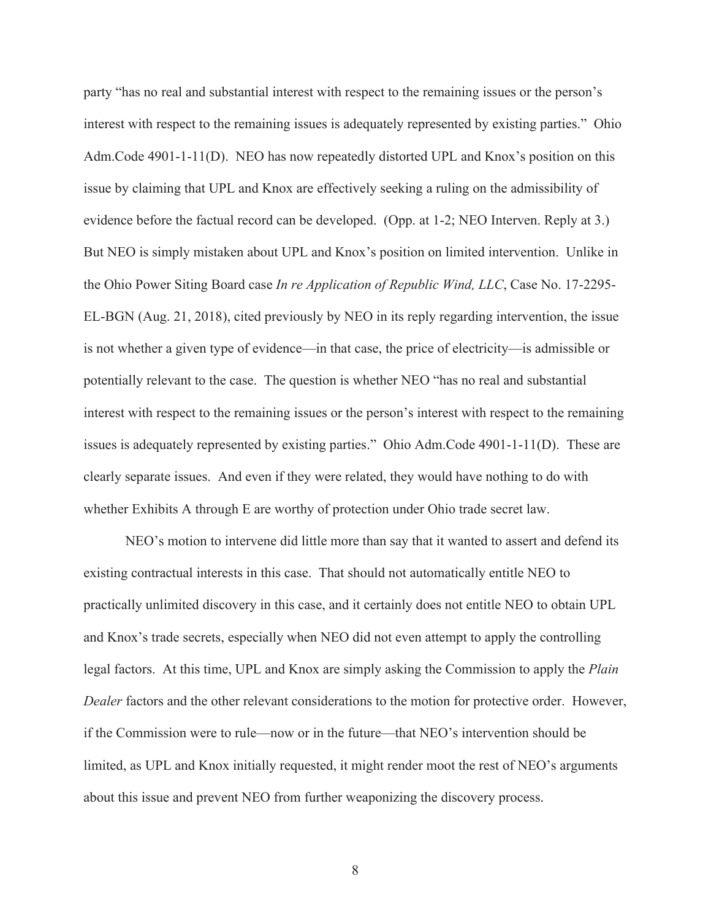party "has no real and substantial interest with respect to the remaining issues or the person's interest with respect to the remaining issues is adequately represented by existing parties." Ohio Adm.Code 4901-1-11(D). NEO has now repeatedly distorted UPL and Knox's position on this issue by claiming that UPL and Knox are effectively seeking a ruling on the admissibility of evidence before the factual record can be developed. (Opp. at 1-2; NEO Interven. Reply at 3.) But NEO is simply mistaken about UPL and Knox's position on limited intervention. Unlike in the Ohio Power Siting Board case *In re Application of Republic Wind, LLC*, Case No. 17-2295- EL-BGN (Aug. 21, 2018), cited previously by NEO in its reply regarding intervention, the issue is not whether a given type of evidence—in that case, the price of electricity—is admissible or potentially relevant to the case. The question is whether NEO "has no real and substantial interest with respect to the remaining issues or the person's interest with respect to the remaining issues is adequately represented by existing parties." Ohio Adm.Code 4901-1-11(D). These are clearly separate issues. And even if they were related, they would have nothing to do with whether Exhibits A through E are worthy of protection under Ohio trade secret law.

 NEO's motion to intervene did little more than say that it wanted to assert and defend its existing contractual interests in this case. That should not automatically entitle NEO to practically unlimited discovery in this case, and it certainly does not entitle NEO to obtain UPL and Knox's trade secrets, especially when NEO did not even attempt to apply the controlling legal factors. At this time, UPL and Knox are simply asking the Commission to apply the *Plain Dealer* factors and the other relevant considerations to the motion for protective order. However, if the Commission were to rule—now or in the future—that NEO's intervention should be limited, as UPL and Knox initially requested, it might render moot the rest of NEO's arguments about this issue and prevent NEO from further weaponizing the discovery process.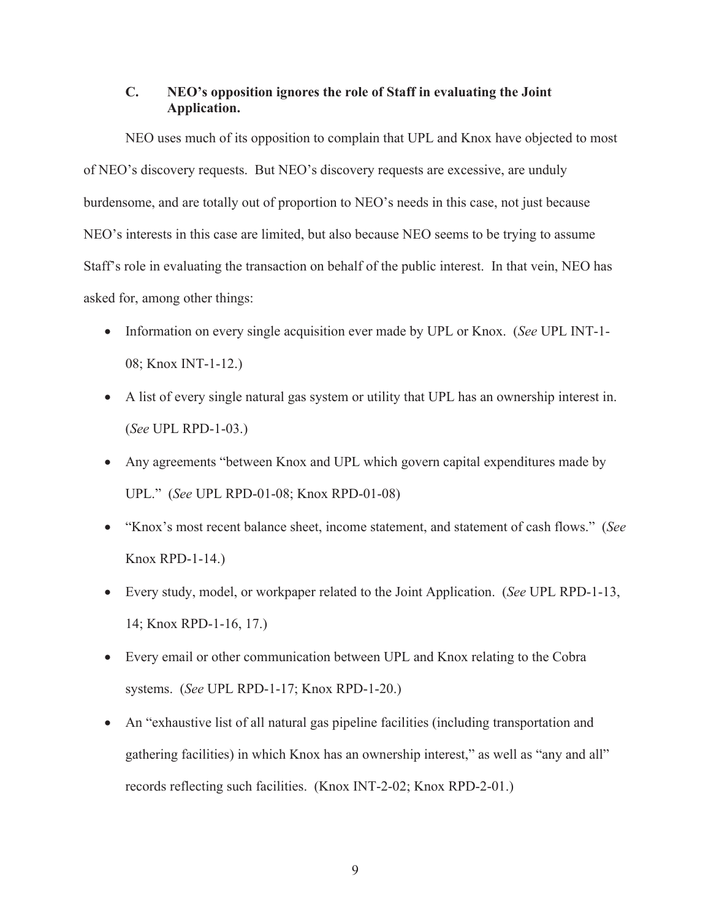## **C. NEO's opposition ignores the role of Staff in evaluating the Joint Application.**

 NEO uses much of its opposition to complain that UPL and Knox have objected to most of NEO's discovery requests. But NEO's discovery requests are excessive, are unduly burdensome, and are totally out of proportion to NEO's needs in this case, not just because NEO's interests in this case are limited, but also because NEO seems to be trying to assume Staff's role in evaluating the transaction on behalf of the public interest. In that vein, NEO has asked for, among other things:

- x Information on every single acquisition ever made by UPL or Knox. (*See* UPL INT-1- 08; Knox INT-1-12.)
- A list of every single natural gas system or utility that UPL has an ownership interest in. (*See* UPL RPD-1-03.)
- Any agreements "between Knox and UPL which govern capital expenditures made by UPL." (*See* UPL RPD-01-08; Knox RPD-01-08)
- x "Knox's most recent balance sheet, income statement, and statement of cash flows." (*See*  Knox RPD-1-14.)
- x Every study, model, or workpaper related to the Joint Application. (*See* UPL RPD-1-13, 14; Knox RPD-1-16, 17.)
- Every email or other communication between UPL and Knox relating to the Cobra systems. (*See* UPL RPD-1-17; Knox RPD-1-20.)
- An "exhaustive list of all natural gas pipeline facilities (including transportation and gathering facilities) in which Knox has an ownership interest," as well as "any and all" records reflecting such facilities. (Knox INT-2-02; Knox RPD-2-01.)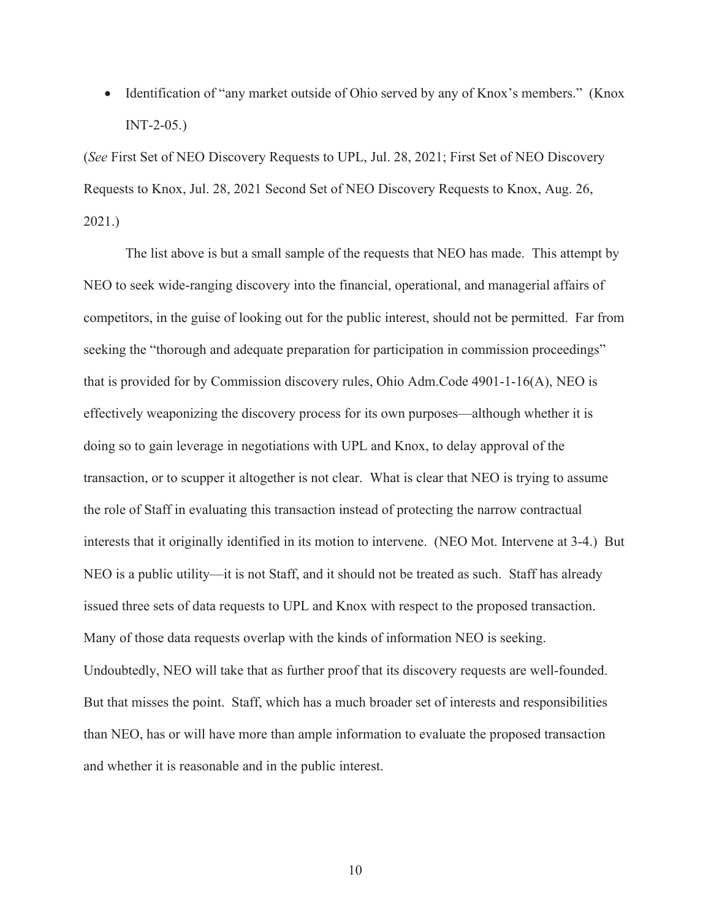• Identification of "any market outside of Ohio served by any of Knox's members." (Knox INT-2-05.)

(*See* First Set of NEO Discovery Requests to UPL, Jul. 28, 2021; First Set of NEO Discovery Requests to Knox, Jul. 28, 2021 Second Set of NEO Discovery Requests to Knox, Aug. 26, 2021.)

 The list above is but a small sample of the requests that NEO has made. This attempt by NEO to seek wide-ranging discovery into the financial, operational, and managerial affairs of competitors, in the guise of looking out for the public interest, should not be permitted. Far from seeking the "thorough and adequate preparation for participation in commission proceedings" that is provided for by Commission discovery rules, Ohio Adm.Code 4901-1-16(A), NEO is effectively weaponizing the discovery process for its own purposes—although whether it is doing so to gain leverage in negotiations with UPL and Knox, to delay approval of the transaction, or to scupper it altogether is not clear. What is clear that NEO is trying to assume the role of Staff in evaluating this transaction instead of protecting the narrow contractual interests that it originally identified in its motion to intervene. (NEO Mot. Intervene at 3-4.) But NEO is a public utility—it is not Staff, and it should not be treated as such. Staff has already issued three sets of data requests to UPL and Knox with respect to the proposed transaction. Many of those data requests overlap with the kinds of information NEO is seeking. Undoubtedly, NEO will take that as further proof that its discovery requests are well-founded. But that misses the point. Staff, which has a much broader set of interests and responsibilities than NEO, has or will have more than ample information to evaluate the proposed transaction and whether it is reasonable and in the public interest.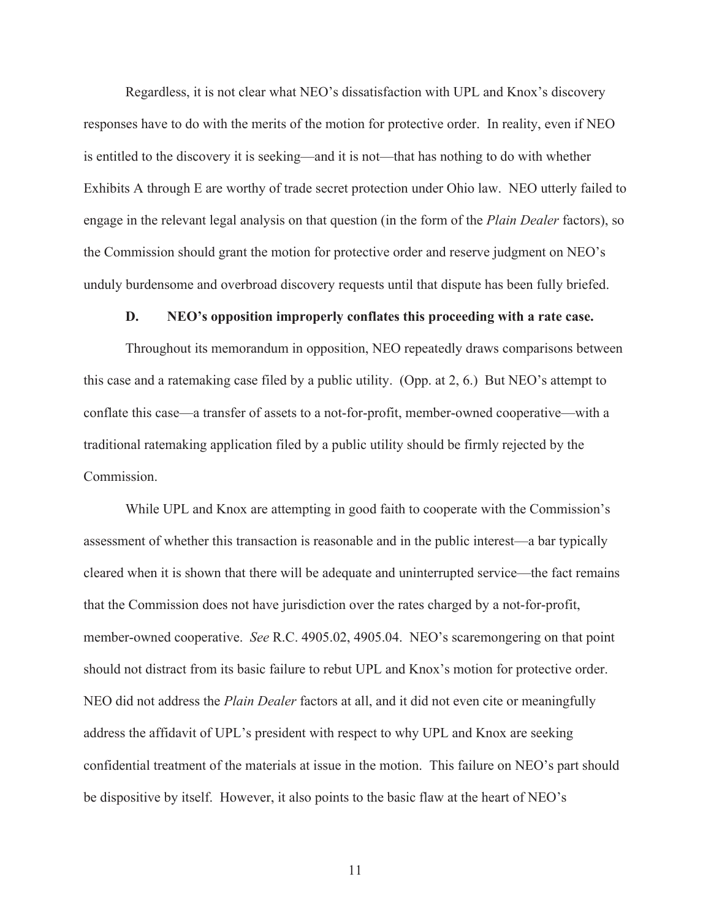Regardless, it is not clear what NEO's dissatisfaction with UPL and Knox's discovery responses have to do with the merits of the motion for protective order. In reality, even if NEO is entitled to the discovery it is seeking—and it is not—that has nothing to do with whether Exhibits A through E are worthy of trade secret protection under Ohio law. NEO utterly failed to engage in the relevant legal analysis on that question (in the form of the *Plain Dealer* factors), so the Commission should grant the motion for protective order and reserve judgment on NEO's unduly burdensome and overbroad discovery requests until that dispute has been fully briefed.

#### **D. NEO's opposition improperly conflates this proceeding with a rate case.**

 Throughout its memorandum in opposition, NEO repeatedly draws comparisons between this case and a ratemaking case filed by a public utility. (Opp. at 2, 6.) But NEO's attempt to conflate this case—a transfer of assets to a not-for-profit, member-owned cooperative—with a traditional ratemaking application filed by a public utility should be firmly rejected by the Commission.

 While UPL and Knox are attempting in good faith to cooperate with the Commission's assessment of whether this transaction is reasonable and in the public interest—a bar typically cleared when it is shown that there will be adequate and uninterrupted service—the fact remains that the Commission does not have jurisdiction over the rates charged by a not-for-profit, member-owned cooperative. *See* R.C. 4905.02, 4905.04. NEO's scaremongering on that point should not distract from its basic failure to rebut UPL and Knox's motion for protective order. NEO did not address the *Plain Dealer* factors at all, and it did not even cite or meaningfully address the affidavit of UPL's president with respect to why UPL and Knox are seeking confidential treatment of the materials at issue in the motion. This failure on NEO's part should be dispositive by itself. However, it also points to the basic flaw at the heart of NEO's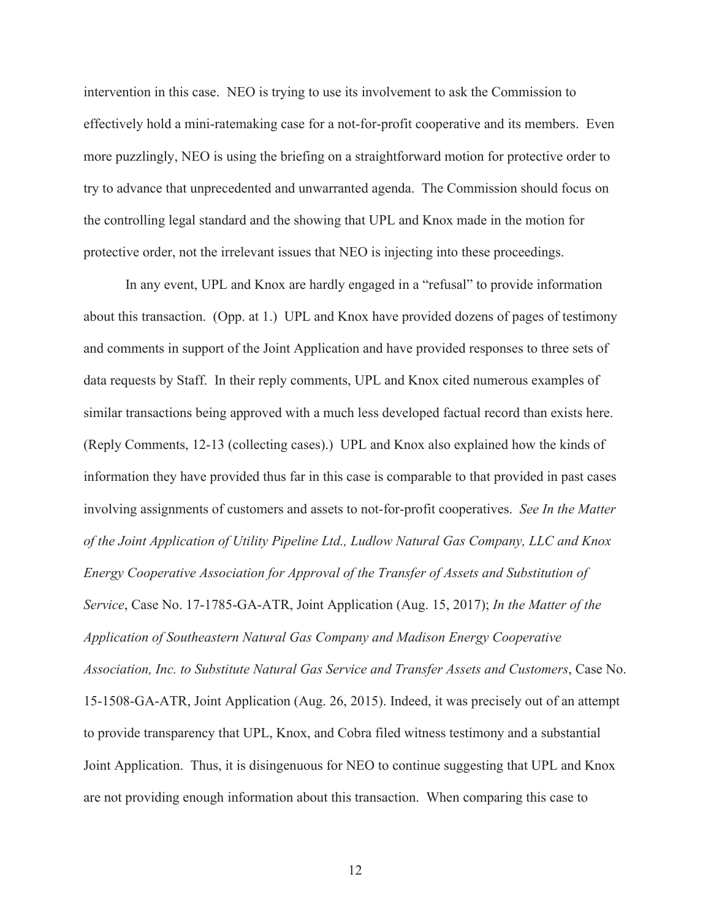intervention in this case. NEO is trying to use its involvement to ask the Commission to effectively hold a mini-ratemaking case for a not-for-profit cooperative and its members. Even more puzzlingly, NEO is using the briefing on a straightforward motion for protective order to try to advance that unprecedented and unwarranted agenda. The Commission should focus on the controlling legal standard and the showing that UPL and Knox made in the motion for protective order, not the irrelevant issues that NEO is injecting into these proceedings.

 In any event, UPL and Knox are hardly engaged in a "refusal" to provide information about this transaction. (Opp. at 1.) UPL and Knox have provided dozens of pages of testimony and comments in support of the Joint Application and have provided responses to three sets of data requests by Staff. In their reply comments, UPL and Knox cited numerous examples of similar transactions being approved with a much less developed factual record than exists here. (Reply Comments, 12-13 (collecting cases).) UPL and Knox also explained how the kinds of information they have provided thus far in this case is comparable to that provided in past cases involving assignments of customers and assets to not-for-profit cooperatives. *See In the Matter of the Joint Application of Utility Pipeline Ltd., Ludlow Natural Gas Company, LLC and Knox Energy Cooperative Association for Approval of the Transfer of Assets and Substitution of Service*, Case No. 17-1785-GA-ATR, Joint Application (Aug. 15, 2017); *In the Matter of the Application of Southeastern Natural Gas Company and Madison Energy Cooperative Association, Inc. to Substitute Natural Gas Service and Transfer Assets and Customers*, Case No. 15-1508-GA-ATR, Joint Application (Aug. 26, 2015). Indeed, it was precisely out of an attempt to provide transparency that UPL, Knox, and Cobra filed witness testimony and a substantial Joint Application. Thus, it is disingenuous for NEO to continue suggesting that UPL and Knox are not providing enough information about this transaction. When comparing this case to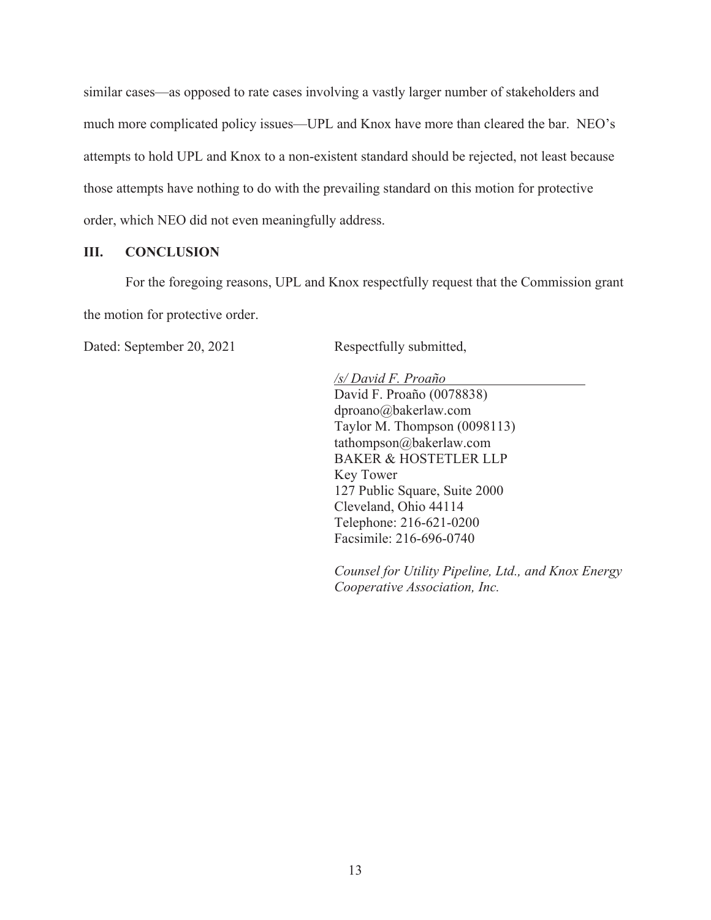similar cases—as opposed to rate cases involving a vastly larger number of stakeholders and much more complicated policy issues—UPL and Knox have more than cleared the bar. NEO's attempts to hold UPL and Knox to a non-existent standard should be rejected, not least because those attempts have nothing to do with the prevailing standard on this motion for protective order, which NEO did not even meaningfully address.

### **III. CONCLUSION**

For the foregoing reasons, UPL and Knox respectfully request that the Commission grant the motion for protective order.

Dated: September 20, 2021 Respectfully submitted,

*/s/ David F. Proaño*  David F. Proaño (0078838) dproano@bakerlaw.com Taylor M. Thompson (0098113) tathompson@bakerlaw.com BAKER & HOSTETLER LLP Key Tower 127 Public Square, Suite 2000 Cleveland, Ohio 44114 Telephone: 216-621-0200 Facsimile: 216-696-0740

*Counsel for Utility Pipeline, Ltd., and Knox Energy Cooperative Association, Inc.*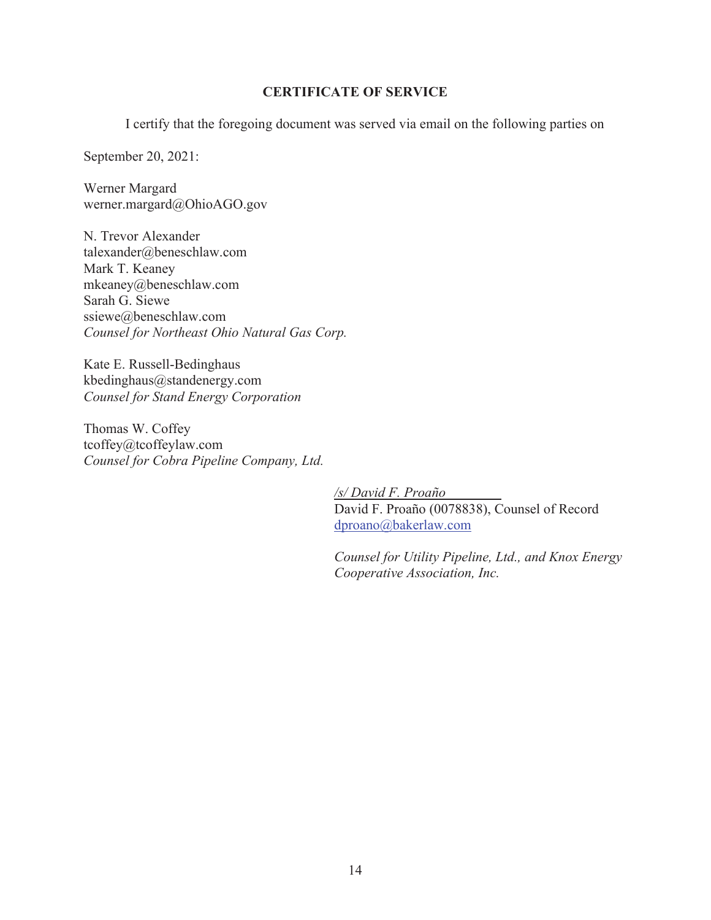## **CERTIFICATE OF SERVICE**

I certify that the foregoing document was served via email on the following parties on

September 20, 2021:

Werner Margard werner.margard@OhioAGO.gov

N. Trevor Alexander talexander@beneschlaw.com Mark T. Keaney mkeaney@beneschlaw.com Sarah G. Siewe ssiewe@beneschlaw.com *Counsel for Northeast Ohio Natural Gas Corp.* 

Kate E. Russell-Bedinghaus kbedinghaus@standenergy.com *Counsel for Stand Energy Corporation* 

Thomas W. Coffey tcoffey@tcoffeylaw.com *Counsel for Cobra Pipeline Company, Ltd.* 

> */s/ David F. Proaño* David F. Proaño (0078838), Counsel of Record dproano@bakerlaw.com

*Counsel for Utility Pipeline, Ltd., and Knox Energy Cooperative Association, Inc.*